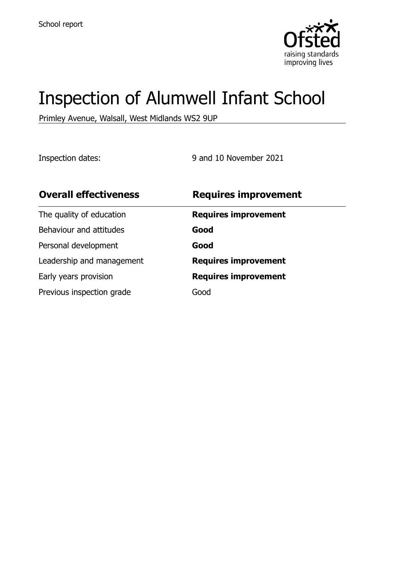

# Inspection of Alumwell Infant School

Primley Avenue, Walsall, West Midlands WS2 9UP

Inspection dates: 9 and 10 November 2021

| <b>Overall effectiveness</b> | <b>Requires improvement</b> |
|------------------------------|-----------------------------|
| The quality of education     | <b>Requires improvement</b> |
| Behaviour and attitudes      | Good                        |
| Personal development         | Good                        |
| Leadership and management    | <b>Requires improvement</b> |
| Early years provision        | <b>Requires improvement</b> |
| Previous inspection grade    | Good                        |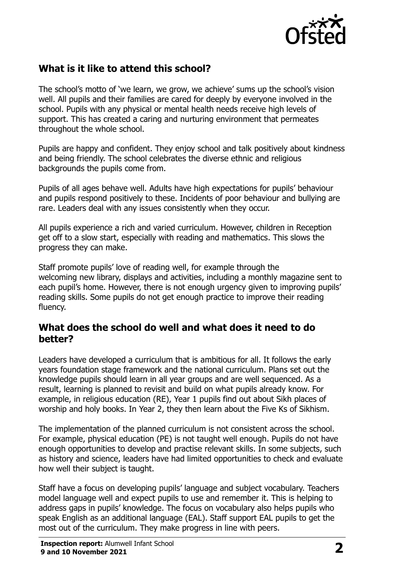

# **What is it like to attend this school?**

The school's motto of 'we learn, we grow, we achieve' sums up the school's vision well. All pupils and their families are cared for deeply by everyone involved in the school. Pupils with any physical or mental health needs receive high levels of support. This has created a caring and nurturing environment that permeates throughout the whole school.

Pupils are happy and confident. They enjoy school and talk positively about kindness and being friendly. The school celebrates the diverse ethnic and religious backgrounds the pupils come from.

Pupils of all ages behave well. Adults have high expectations for pupils' behaviour and pupils respond positively to these. Incidents of poor behaviour and bullying are rare. Leaders deal with any issues consistently when they occur.

All pupils experience a rich and varied curriculum. However, children in Reception get off to a slow start, especially with reading and mathematics. This slows the progress they can make.

Staff promote pupils' love of reading well, for example through the welcoming new library, displays and activities, including a monthly magazine sent to each pupil's home. However, there is not enough urgency given to improving pupils' reading skills. Some pupils do not get enough practice to improve their reading fluency.

#### **What does the school do well and what does it need to do better?**

Leaders have developed a curriculum that is ambitious for all. It follows the early years foundation stage framework and the national curriculum. Plans set out the knowledge pupils should learn in all year groups and are well sequenced. As a result, learning is planned to revisit and build on what pupils already know. For example, in religious education (RE), Year 1 pupils find out about Sikh places of worship and holy books. In Year 2, they then learn about the Five Ks of Sikhism.

The implementation of the planned curriculum is not consistent across the school. For example, physical education (PE) is not taught well enough. Pupils do not have enough opportunities to develop and practise relevant skills. In some subjects, such as history and science, leaders have had limited opportunities to check and evaluate how well their subject is taught.

Staff have a focus on developing pupils' language and subject vocabulary. Teachers model language well and expect pupils to use and remember it. This is helping to address gaps in pupils' knowledge. The focus on vocabulary also helps pupils who speak English as an additional language (EAL). Staff support EAL pupils to get the most out of the curriculum. They make progress in line with peers.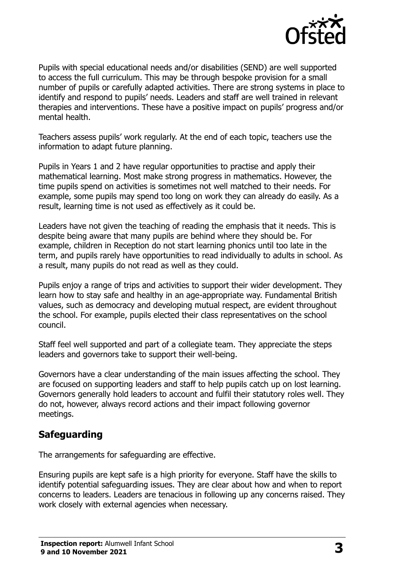

Pupils with special educational needs and/or disabilities (SEND) are well supported to access the full curriculum. This may be through bespoke provision for a small number of pupils or carefully adapted activities. There are strong systems in place to identify and respond to pupils' needs. Leaders and staff are well trained in relevant therapies and interventions. These have a positive impact on pupils' progress and/or mental health.

Teachers assess pupils' work regularly. At the end of each topic, teachers use the information to adapt future planning.

Pupils in Years 1 and 2 have regular opportunities to practise and apply their mathematical learning. Most make strong progress in mathematics. However, the time pupils spend on activities is sometimes not well matched to their needs. For example, some pupils may spend too long on work they can already do easily. As a result, learning time is not used as effectively as it could be.

Leaders have not given the teaching of reading the emphasis that it needs. This is despite being aware that many pupils are behind where they should be. For example, children in Reception do not start learning phonics until too late in the term, and pupils rarely have opportunities to read individually to adults in school. As a result, many pupils do not read as well as they could.

Pupils enjoy a range of trips and activities to support their wider development. They learn how to stay safe and healthy in an age-appropriate way. Fundamental British values, such as democracy and developing mutual respect, are evident throughout the school. For example, pupils elected their class representatives on the school council.

Staff feel well supported and part of a collegiate team. They appreciate the steps leaders and governors take to support their well-being.

Governors have a clear understanding of the main issues affecting the school. They are focused on supporting leaders and staff to help pupils catch up on lost learning. Governors generally hold leaders to account and fulfil their statutory roles well. They do not, however, always record actions and their impact following governor meetings.

# **Safeguarding**

The arrangements for safeguarding are effective.

Ensuring pupils are kept safe is a high priority for everyone. Staff have the skills to identify potential safeguarding issues. They are clear about how and when to report concerns to leaders. Leaders are tenacious in following up any concerns raised. They work closely with external agencies when necessary.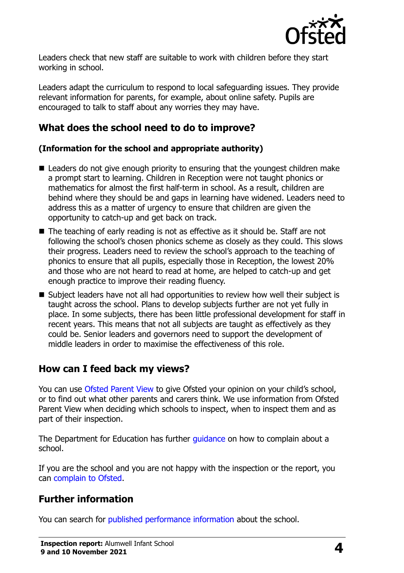

Leaders check that new staff are suitable to work with children before they start working in school.

Leaders adapt the curriculum to respond to local safeguarding issues. They provide relevant information for parents, for example, about online safety. Pupils are encouraged to talk to staff about any worries they may have.

## **What does the school need to do to improve?**

#### **(Information for the school and appropriate authority)**

- Leaders do not give enough priority to ensuring that the youngest children make a prompt start to learning. Children in Reception were not taught phonics or mathematics for almost the first half-term in school. As a result, children are behind where they should be and gaps in learning have widened. Leaders need to address this as a matter of urgency to ensure that children are given the opportunity to catch-up and get back on track.
- The teaching of early reading is not as effective as it should be. Staff are not following the school's chosen phonics scheme as closely as they could. This slows their progress. Leaders need to review the school's approach to the teaching of phonics to ensure that all pupils, especially those in Reception, the lowest 20% and those who are not heard to read at home, are helped to catch-up and get enough practice to improve their reading fluency.
- Subject leaders have not all had opportunities to review how well their subject is taught across the school. Plans to develop subjects further are not yet fully in place. In some subjects, there has been little professional development for staff in recent years. This means that not all subjects are taught as effectively as they could be. Senior leaders and governors need to support the development of middle leaders in order to maximise the effectiveness of this role.

### **How can I feed back my views?**

You can use [Ofsted Parent View](http://parentview.ofsted.gov.uk/) to give Ofsted your opinion on your child's school, or to find out what other parents and carers think. We use information from Ofsted Parent View when deciding which schools to inspect, when to inspect them and as part of their inspection.

The Department for Education has further *quidance* on how to complain about a school.

If you are the school and you are not happy with the inspection or the report, you can [complain to Ofsted.](http://www.gov.uk/complain-ofsted-report)

# **Further information**

You can search for [published performance information](http://www.compare-school-performance.service.gov.uk/) about the school.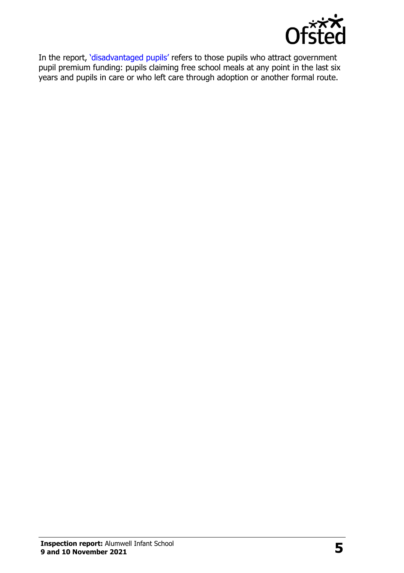

In the report, '[disadvantaged pupils](http://www.gov.uk/guidance/pupil-premium-information-for-schools-and-alternative-provision-settings)' refers to those pupils who attract government pupil premium funding: pupils claiming free school meals at any point in the last six years and pupils in care or who left care through adoption or another formal route.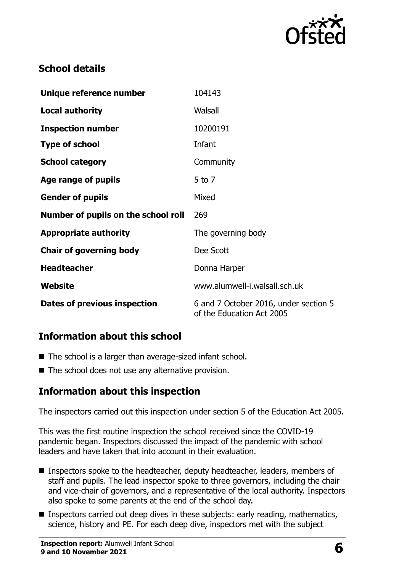

# **School details**

| Unique reference number             | 104143                                                             |
|-------------------------------------|--------------------------------------------------------------------|
| <b>Local authority</b>              | Walsall                                                            |
| <b>Inspection number</b>            | 10200191                                                           |
| <b>Type of school</b>               | Infant                                                             |
| <b>School category</b>              | Community                                                          |
| Age range of pupils                 | 5 to 7                                                             |
| <b>Gender of pupils</b>             | Mixed                                                              |
| Number of pupils on the school roll | 269                                                                |
| <b>Appropriate authority</b>        | The governing body                                                 |
| <b>Chair of governing body</b>      | Dee Scott                                                          |
| <b>Headteacher</b>                  | Donna Harper                                                       |
| Website                             | www.alumwell-i.walsall.sch.uk                                      |
| Dates of previous inspection        | 6 and 7 October 2016, under section 5<br>of the Education Act 2005 |

### **Information about this school**

- The school is a larger than average-sized infant school.
- The school does not use any alternative provision.

# **Information about this inspection**

The inspectors carried out this inspection under section 5 of the Education Act 2005.

This was the first routine inspection the school received since the COVID-19 pandemic began. Inspectors discussed the impact of the pandemic with school leaders and have taken that into account in their evaluation.

- Inspectors spoke to the headteacher, deputy headteacher, leaders, members of staff and pupils. The lead inspector spoke to three governors, including the chair and vice-chair of governors, and a representative of the local authority. Inspectors also spoke to some parents at the end of the school day.
- Inspectors carried out deep dives in these subjects: early reading, mathematics, science, history and PE. For each deep dive, inspectors met with the subject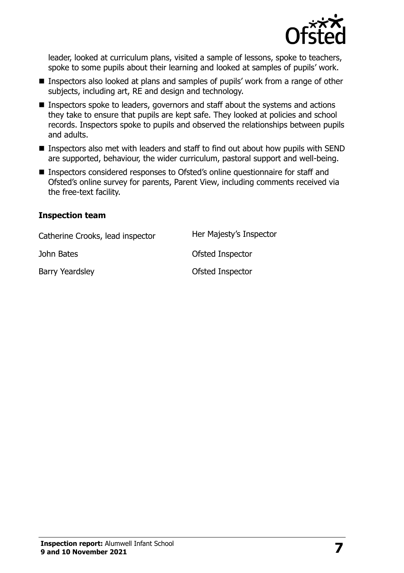

leader, looked at curriculum plans, visited a sample of lessons, spoke to teachers, spoke to some pupils about their learning and looked at samples of pupils' work.

- Inspectors also looked at plans and samples of pupils' work from a range of other subjects, including art, RE and design and technology.
- **Inspectors spoke to leaders, governors and staff about the systems and actions** they take to ensure that pupils are kept safe. They looked at policies and school records. Inspectors spoke to pupils and observed the relationships between pupils and adults.
- Inspectors also met with leaders and staff to find out about how pupils with SEND are supported, behaviour, the wider curriculum, pastoral support and well-being.
- Inspectors considered responses to Ofsted's online questionnaire for staff and Ofsted's online survey for parents, Parent View, including comments received via the free-text facility.

#### **Inspection team**

| Catherine Crooks, lead inspector | Her Majesty's Inspector |
|----------------------------------|-------------------------|
| John Bates                       | Ofsted Inspector        |
| Barry Yeardsley                  | Ofsted Inspector        |